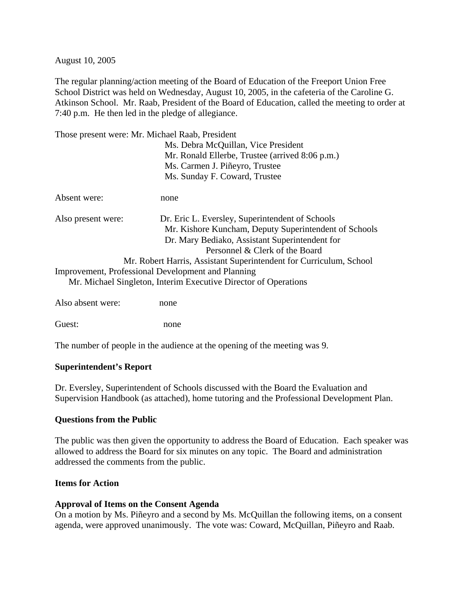August 10, 2005

The regular planning/action meeting of the Board of Education of the Freeport Union Free School District was held on Wednesday, August 10, 2005, in the cafeteria of the Caroline G. Atkinson School. Mr. Raab, President of the Board of Education, called the meeting to order at 7:40 p.m. He then led in the pledge of allegiance.

Those present were: Mr. Michael Raab, President

|                    | Ms. Debra McQuillan, Vice President                                |
|--------------------|--------------------------------------------------------------------|
|                    | Mr. Ronald Ellerbe, Trustee (arrived 8:06 p.m.)                    |
|                    | Ms. Carmen J. Piñeyro, Trustee                                     |
|                    | Ms. Sunday F. Coward, Trustee                                      |
| Absent were:       | none                                                               |
| Also present were: | Dr. Eric L. Eversley, Superintendent of Schools                    |
|                    | Mr. Kishore Kuncham, Deputy Superintendent of Schools              |
|                    | Dr. Mary Bediako, Assistant Superintendent for                     |
|                    | Personnel & Clerk of the Board                                     |
|                    | Mr. Robert Harris, Assistant Superintendent for Curriculum, School |
|                    | Improvement, Professional Development and Planning                 |
|                    | Mr. Michael Singleton, Interim Executive Director of Operations    |
|                    |                                                                    |

Also absent were: none

Guest: none

The number of people in the audience at the opening of the meeting was 9.

#### **Superintendent's Report**

Dr. Eversley, Superintendent of Schools discussed with the Board the Evaluation and Supervision Handbook (as attached), home tutoring and the Professional Development Plan.

#### **Questions from the Public**

The public was then given the opportunity to address the Board of Education. Each speaker was allowed to address the Board for six minutes on any topic. The Board and administration addressed the comments from the public.

### **Items for Action**

#### **Approval of Items on the Consent Agenda**

On a motion by Ms. Piñeyro and a second by Ms. McQuillan the following items, on a consent agenda, were approved unanimously. The vote was: Coward, McQuillan, Piñeyro and Raab.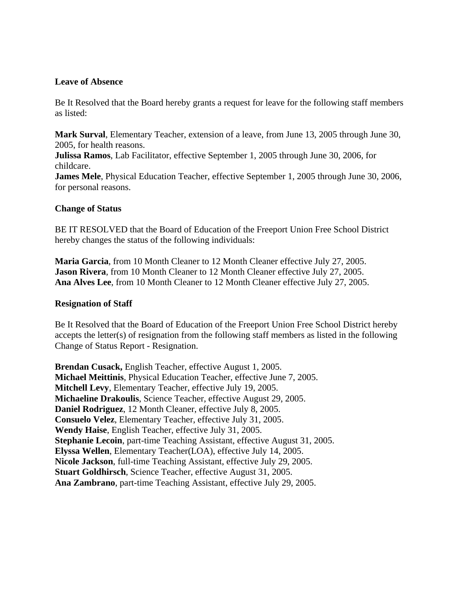#### **Leave of Absence**

Be It Resolved that the Board hereby grants a request for leave for the following staff members as listed:

**Mark Surval**, Elementary Teacher, extension of a leave, from June 13, 2005 through June 30, 2005, for health reasons.

**Julissa Ramos**, Lab Facilitator, effective September 1, 2005 through June 30, 2006, for childcare.

**James Mele**, Physical Education Teacher, effective September 1, 2005 through June 30, 2006, for personal reasons.

#### **Change of Status**

BE IT RESOLVED that the Board of Education of the Freeport Union Free School District hereby changes the status of the following individuals:

**Maria Garcia**, from 10 Month Cleaner to 12 Month Cleaner effective July 27, 2005. **Jason Rivera**, from 10 Month Cleaner to 12 Month Cleaner effective July 27, 2005. **Ana Alves Lee**, from 10 Month Cleaner to 12 Month Cleaner effective July 27, 2005.

#### **Resignation of Staff**

Be It Resolved that the Board of Education of the Freeport Union Free School District hereby accepts the letter(s) of resignation from the following staff members as listed in the following Change of Status Report - Resignation.

**Brendan Cusack,** English Teacher, effective August 1, 2005. **Michael Meittinis**, Physical Education Teacher, effective June 7, 2005. **Mitchell Levy**, Elementary Teacher, effective July 19, 2005. **Michaeline Drakoulis**, Science Teacher, effective August 29, 2005. **Daniel Rodriguez**, 12 Month Cleaner, effective July 8, 2005. **Consuelo Velez**, Elementary Teacher, effective July 31, 2005. **Wendy Haise**, English Teacher, effective July 31, 2005. **Stephanie Lecoin**, part-time Teaching Assistant, effective August 31, 2005. **Elyssa Wellen**, Elementary Teacher(LOA), effective July 14, 2005. **Nicole Jackson**, full-time Teaching Assistant, effective July 29, 2005. **Stuart Goldhirsch**, Science Teacher, effective August 31, 2005. **Ana Zambrano**, part-time Teaching Assistant, effective July 29, 2005.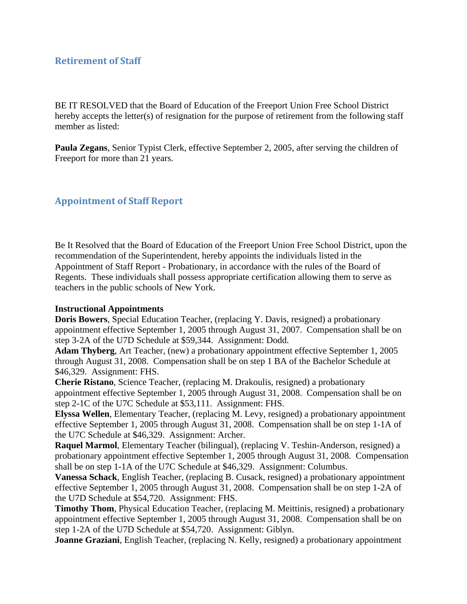# **Retirement of Staff**

BE IT RESOLVED that the Board of Education of the Freeport Union Free School District hereby accepts the letter(s) of resignation for the purpose of retirement from the following staff member as listed:

**Paula Zegans**, Senior Typist Clerk, effective September 2, 2005, after serving the children of Freeport for more than 21 years.

# **Appointment of Staff Report**

Be It Resolved that the Board of Education of the Freeport Union Free School District, upon the recommendation of the Superintendent, hereby appoints the individuals listed in the Appointment of Staff Report - Probationary, in accordance with the rules of the Board of Regents. These individuals shall possess appropriate certification allowing them to serve as teachers in the public schools of New York.

#### **Instructional Appointments**

**Doris Bowers**, Special Education Teacher, (replacing Y. Davis, resigned) a probationary appointment effective September 1, 2005 through August 31, 2007. Compensation shall be on step 3-2A of the U7D Schedule at \$59,344. Assignment: Dodd.

**Adam Thyberg**, Art Teacher, (new) a probationary appointment effective September 1, 2005 through August 31, 2008. Compensation shall be on step 1 BA of the Bachelor Schedule at \$46,329. Assignment: FHS.

**Cherie Ristano**, Science Teacher, (replacing M. Drakoulis, resigned) a probationary appointment effective September 1, 2005 through August 31, 2008. Compensation shall be on step 2-1C of the U7C Schedule at \$53,111. Assignment: FHS.

**Elyssa Wellen**, Elementary Teacher, (replacing M. Levy, resigned) a probationary appointment effective September 1, 2005 through August 31, 2008. Compensation shall be on step 1-1A of the U7C Schedule at \$46,329. Assignment: Archer.

**Raquel Marmol**, Elementary Teacher (bilingual), (replacing V. Teshin-Anderson, resigned) a probationary appointment effective September 1, 2005 through August 31, 2008. Compensation shall be on step 1-1A of the U7C Schedule at \$46,329. Assignment: Columbus.

**Vanessa Schack**, English Teacher, (replacing B. Cusack, resigned) a probationary appointment effective September 1, 2005 through August 31, 2008. Compensation shall be on step 1-2A of the U7D Schedule at \$54,720. Assignment: FHS.

**Timothy Thom**, Physical Education Teacher, (replacing M. Meittinis, resigned) a probationary appointment effective September 1, 2005 through August 31, 2008. Compensation shall be on step 1-2A of the U7D Schedule at \$54,720. Assignment: Giblyn.

**Joanne Graziani**, English Teacher, (replacing N. Kelly, resigned) a probationary appointment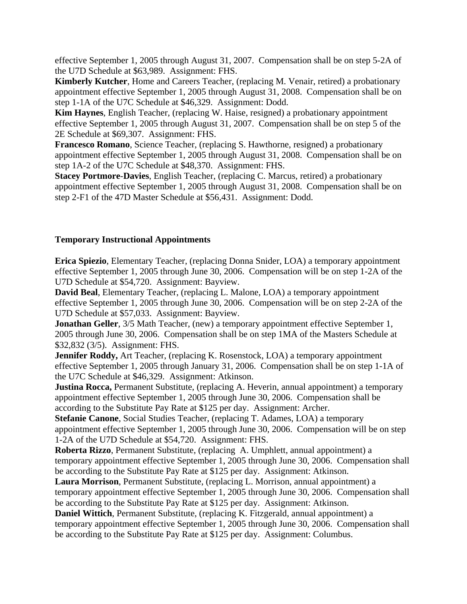effective September 1, 2005 through August 31, 2007. Compensation shall be on step 5-2A of the U7D Schedule at \$63,989. Assignment: FHS.

**Kimberly Kutcher**, Home and Careers Teacher, (replacing M. Venair, retired) a probationary appointment effective September 1, 2005 through August 31, 2008. Compensation shall be on step 1-1A of the U7C Schedule at \$46,329. Assignment: Dodd.

**Kim Haynes**, English Teacher, (replacing W. Haise, resigned) a probationary appointment effective September 1, 2005 through August 31, 2007. Compensation shall be on step 5 of the 2E Schedule at \$69,307. Assignment: FHS.

**Francesco Romano**, Science Teacher, (replacing S. Hawthorne, resigned) a probationary appointment effective September 1, 2005 through August 31, 2008. Compensation shall be on step 1A-2 of the U7C Schedule at \$48,370. Assignment: FHS.

**Stacey Portmore**-**Davies**, English Teacher, (replacing C. Marcus, retired) a probationary appointment effective September 1, 2005 through August 31, 2008. Compensation shall be on step 2-F1 of the 47D Master Schedule at \$56,431. Assignment: Dodd.

#### **Temporary Instructional Appointments**

**Erica Spiezio**, Elementary Teacher, (replacing Donna Snider, LOA) a temporary appointment effective September 1, 2005 through June 30, 2006. Compensation will be on step 1-2A of the U7D Schedule at \$54,720. Assignment: Bayview.

**David Beal**, Elementary Teacher, (replacing L. Malone, LOA) a temporary appointment effective September 1, 2005 through June 30, 2006. Compensation will be on step 2-2A of the U7D Schedule at \$57,033. Assignment: Bayview.

**Jonathan Geller**, 3/5 Math Teacher, (new) a temporary appointment effective September 1, 2005 through June 30, 2006. Compensation shall be on step 1MA of the Masters Schedule at \$32,832 (3/5). Assignment: FHS.

**Jennifer Roddy,** Art Teacher, (replacing K. Rosenstock, LOA) a temporary appointment effective September 1, 2005 through January 31, 2006. Compensation shall be on step 1-1A of the U7C Schedule at \$46,329. Assignment: Atkinson.

**Justina Rocca,** Permanent Substitute, (replacing A. Heverin, annual appointment) a temporary appointment effective September 1, 2005 through June 30, 2006. Compensation shall be according to the Substitute Pay Rate at \$125 per day. Assignment: Archer.

**Stefanie Canone**, Social Studies Teacher, (replacing T. Adames, LOA) a temporary appointment effective September 1, 2005 through June 30, 2006. Compensation will be on step 1-2A of the U7D Schedule at \$54,720. Assignment: FHS.

**Roberta Rizzo**, Permanent Substitute, (replacing A. Umphlett, annual appointment) a temporary appointment effective September 1, 2005 through June 30, 2006. Compensation shall be according to the Substitute Pay Rate at \$125 per day. Assignment: Atkinson.

**Laura Morrison**, Permanent Substitute, (replacing L. Morrison, annual appointment) a temporary appointment effective September 1, 2005 through June 30, 2006. Compensation shall be according to the Substitute Pay Rate at \$125 per day. Assignment: Atkinson.

**Daniel Wittich**, Permanent Substitute, (replacing K. Fitzgerald, annual appointment) a temporary appointment effective September 1, 2005 through June 30, 2006. Compensation shall be according to the Substitute Pay Rate at \$125 per day. Assignment: Columbus.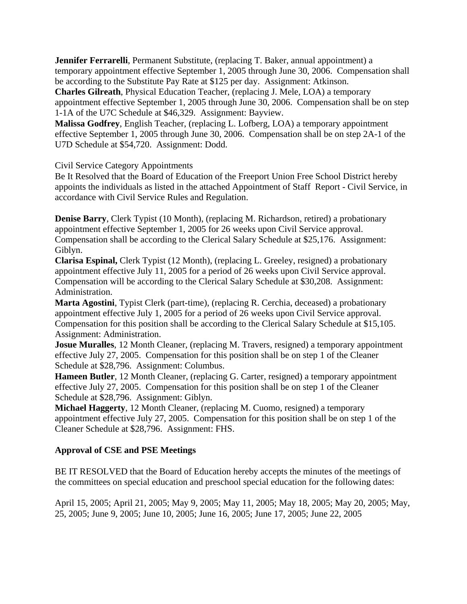**Jennifer Ferrarelli**, Permanent Substitute, (replacing T. Baker, annual appointment) a temporary appointment effective September 1, 2005 through June 30, 2006. Compensation shall be according to the Substitute Pay Rate at \$125 per day. Assignment: Atkinson.

**Charles Gilreath**, Physical Education Teacher, (replacing J. Mele, LOA) a temporary appointment effective September 1, 2005 through June 30, 2006. Compensation shall be on step 1-1A of the U7C Schedule at \$46,329. Assignment: Bayview.

**Malissa Godfrey**, English Teacher, (replacing L. Lofberg, LOA) a temporary appointment effective September 1, 2005 through June 30, 2006. Compensation shall be on step 2A-1 of the U7D Schedule at \$54,720. Assignment: Dodd.

Civil Service Category Appointments

Be It Resolved that the Board of Education of the Freeport Union Free School District hereby appoints the individuals as listed in the attached Appointment of Staff Report - Civil Service, in accordance with Civil Service Rules and Regulation.

**Denise Barry**, Clerk Typist (10 Month), (replacing M. Richardson, retired) a probationary appointment effective September 1, 2005 for 26 weeks upon Civil Service approval. Compensation shall be according to the Clerical Salary Schedule at \$25,176. Assignment: Giblyn.

**Clarisa Espinal,** Clerk Typist (12 Month), (replacing L. Greeley, resigned) a probationary appointment effective July 11, 2005 for a period of 26 weeks upon Civil Service approval. Compensation will be according to the Clerical Salary Schedule at \$30,208. Assignment: Administration.

**Marta Agostini**, Typist Clerk (part-time), (replacing R. Cerchia, deceased) a probationary appointment effective July 1, 2005 for a period of 26 weeks upon Civil Service approval. Compensation for this position shall be according to the Clerical Salary Schedule at \$15,105. Assignment: Administration.

**Josue Muralles**, 12 Month Cleaner, (replacing M. Travers, resigned) a temporary appointment effective July 27, 2005. Compensation for this position shall be on step 1 of the Cleaner Schedule at \$28,796. Assignment: Columbus.

**Hameen Butler**, 12 Month Cleaner, (replacing G. Carter, resigned) a temporary appointment effective July 27, 2005. Compensation for this position shall be on step 1 of the Cleaner Schedule at \$28,796. Assignment: Giblyn.

**Michael Haggerty**, 12 Month Cleaner, (replacing M. Cuomo, resigned) a temporary appointment effective July 27, 2005. Compensation for this position shall be on step 1 of the Cleaner Schedule at \$28,796. Assignment: FHS.

# **Approval of CSE and PSE Meetings**

BE IT RESOLVED that the Board of Education hereby accepts the minutes of the meetings of the committees on special education and preschool special education for the following dates:

April 15, 2005; April 21, 2005; May 9, 2005; May 11, 2005; May 18, 2005; May 20, 2005; May, 25, 2005; June 9, 2005; June 10, 2005; June 16, 2005; June 17, 2005; June 22, 2005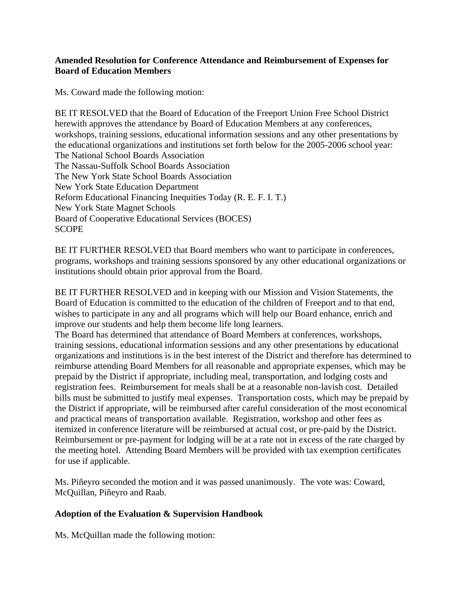### **Amended Resolution for Conference Attendance and Reimbursement of Expenses for Board of Education Members**

Ms. Coward made the following motion:

BE IT RESOLVED that the Board of Education of the Freeport Union Free School District herewith approves the attendance by Board of Education Members at any conferences, workshops, training sessions, educational information sessions and any other presentations by the educational organizations and institutions set forth below for the 2005-2006 school year: The National School Boards Association The Nassau-Suffolk School Boards Association The New York State School Boards Association New York State Education Department Reform Educational Financing Inequities Today (R. E. F. I. T.) New York State Magnet Schools Board of Cooperative Educational Services (BOCES) **SCOPE** 

BE IT FURTHER RESOLVED that Board members who want to participate in conferences, programs, workshops and training sessions sponsored by any other educational organizations or institutions should obtain prior approval from the Board.

BE IT FURTHER RESOLVED and in keeping with our Mission and Vision Statements, the Board of Education is committed to the education of the children of Freeport and to that end, wishes to participate in any and all programs which will help our Board enhance, enrich and improve our students and help them become life long learners.

The Board has determined that attendance of Board Members at conferences, workshops, training sessions, educational information sessions and any other presentations by educational organizations and institutions is in the best interest of the District and therefore has determined to reimburse attending Board Members for all reasonable and appropriate expenses, which may be prepaid by the District if appropriate, including meal, transportation, and lodging costs and registration fees. Reimbursement for meals shall be at a reasonable non-lavish cost. Detailed bills must be submitted to justify meal expenses. Transportation costs, which may be prepaid by the District if appropriate, will be reimbursed after careful consideration of the most economical and practical means of transportation available. Registration, workshop and other fees as itemized in conference literature will be reimbursed at actual cost, or pre-paid by the District. Reimbursement or pre-payment for lodging will be at a rate not in excess of the rate charged by the meeting hotel. Attending Board Members will be provided with tax exemption certificates for use if applicable.

Ms. Piñeyro seconded the motion and it was passed unanimously. The vote was: Coward, McQuillan, Piñeyro and Raab.

#### **Adoption of the Evaluation & Supervision Handbook**

Ms. McQuillan made the following motion: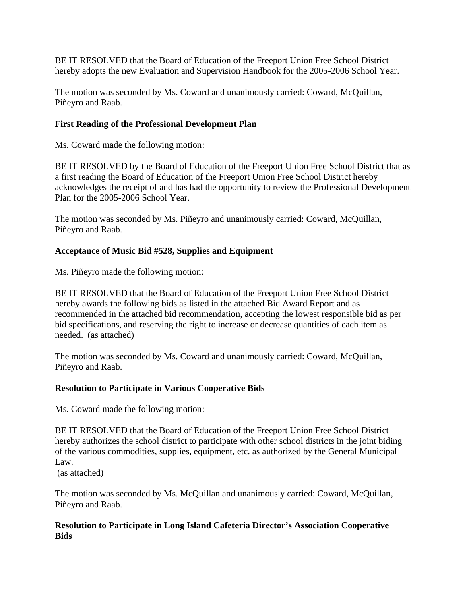BE IT RESOLVED that the Board of Education of the Freeport Union Free School District hereby adopts the new Evaluation and Supervision Handbook for the 2005-2006 School Year.

The motion was seconded by Ms. Coward and unanimously carried: Coward, McQuillan, Piñeyro and Raab.

## **First Reading of the Professional Development Plan**

Ms. Coward made the following motion:

BE IT RESOLVED by the Board of Education of the Freeport Union Free School District that as a first reading the Board of Education of the Freeport Union Free School District hereby acknowledges the receipt of and has had the opportunity to review the Professional Development Plan for the 2005-2006 School Year.

The motion was seconded by Ms. Piñeyro and unanimously carried: Coward, McQuillan, Piñeyro and Raab.

### **Acceptance of Music Bid #528, Supplies and Equipment**

Ms. Piñeyro made the following motion:

BE IT RESOLVED that the Board of Education of the Freeport Union Free School District hereby awards the following bids as listed in the attached Bid Award Report and as recommended in the attached bid recommendation, accepting the lowest responsible bid as per bid specifications, and reserving the right to increase or decrease quantities of each item as needed. (as attached)

The motion was seconded by Ms. Coward and unanimously carried: Coward, McQuillan, Piñeyro and Raab.

#### **Resolution to Participate in Various Cooperative Bids**

Ms. Coward made the following motion:

BE IT RESOLVED that the Board of Education of the Freeport Union Free School District hereby authorizes the school district to participate with other school districts in the joint biding of the various commodities, supplies, equipment, etc. as authorized by the General Municipal Law.

(as attached)

The motion was seconded by Ms. McQuillan and unanimously carried: Coward, McQuillan, Piñeyro and Raab.

### **Resolution to Participate in Long Island Cafeteria Director's Association Cooperative Bids**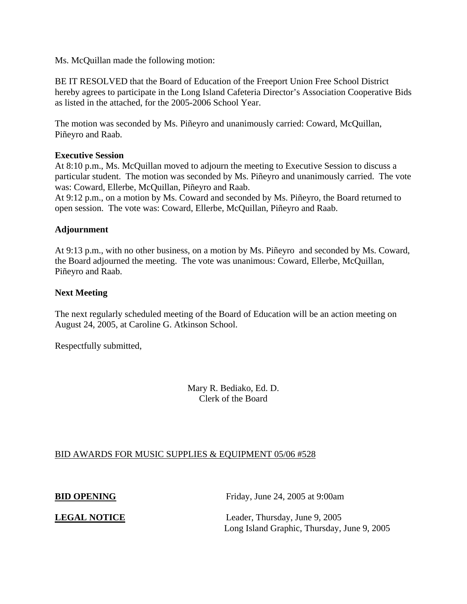Ms. McQuillan made the following motion:

BE IT RESOLVED that the Board of Education of the Freeport Union Free School District hereby agrees to participate in the Long Island Cafeteria Director's Association Cooperative Bids as listed in the attached, for the 2005-2006 School Year.

The motion was seconded by Ms. Piñeyro and unanimously carried: Coward, McQuillan, Piñeyro and Raab.

#### **Executive Session**

At 8:10 p.m., Ms. McQuillan moved to adjourn the meeting to Executive Session to discuss a particular student. The motion was seconded by Ms. Piñeyro and unanimously carried. The vote was: Coward, Ellerbe, McQuillan, Piñeyro and Raab.

At 9:12 p.m., on a motion by Ms. Coward and seconded by Ms. Piñeyro, the Board returned to open session. The vote was: Coward, Ellerbe, McQuillan, Piñeyro and Raab.

#### **Adjournment**

At 9:13 p.m., with no other business, on a motion by Ms. Piñeyro and seconded by Ms. Coward, the Board adjourned the meeting. The vote was unanimous: Coward, Ellerbe, McQuillan, Piñeyro and Raab.

#### **Next Meeting**

The next regularly scheduled meeting of the Board of Education will be an action meeting on August 24, 2005, at Caroline G. Atkinson School.

Respectfully submitted,

Mary R. Bediako, Ed. D. Clerk of the Board

#### BID AWARDS FOR MUSIC SUPPLIES & EQUIPMENT 05/06 #528

**BID OPENING** Friday, June 24, 2005 at 9:00am

**LEGAL NOTICE** Leader, Thursday, June 9, 2005 Long Island Graphic, Thursday, June 9, 2005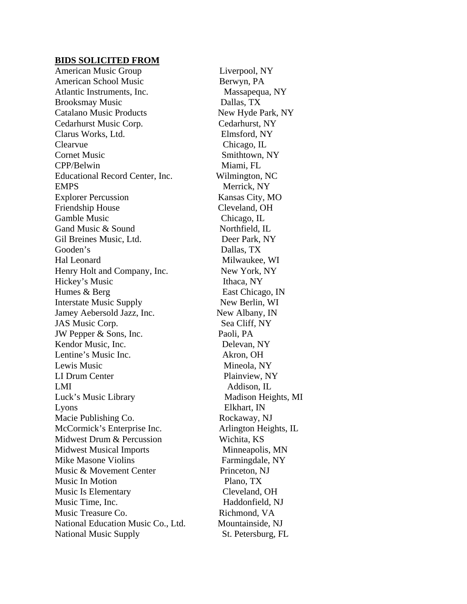#### **BIDS SOLICITED FROM**

American Music Group Liverpool, NY American School Music Berwyn, PA Atlantic Instruments, Inc. Massapequa, NY Brooksmay Music Dallas, TX Catalano Music Products New Hyde Park, NY Cedarhurst Music Corp. Cedarhurst, NY Clarus Works, Ltd. Elmsford, NY Clearvue Chicago, IL Cornet Music Smithtown, NY CPP/Belwin Miami, FL Educational Record Center, Inc. Wilmington, NC EMPS Merrick, NY Explorer Percussion Kansas City, MO Friendship House Cleveland, OH Gamble Music Chicago, IL Gand Music & Sound Northfield, IL Gil Breines Music, Ltd. Deer Park, NY Gooden's Dallas, TX Hal Leonard Milwaukee, WI Henry Holt and Company, Inc. New York, NY Hickey's Music Ithaca, NY Humes & Berg East Chicago, IN Interstate Music Supply New Berlin, WI Jamey Aebersold Jazz, Inc. New Albany, IN JAS Music Corp. Sea Cliff, NY JW Pepper & Sons, Inc. Paoli, PA Kendor Music, Inc. Delevan, NY Lentine's Music Inc. Akron, OH Lewis Music Mineola, NY LI Drum Center Plainview, NY LMI Addison, IL Luck's Music Library Madison Heights, MI Lyons Elkhart, IN Macie Publishing Co. Rockaway, NJ McCormick's Enterprise Inc. Arlington Heights, IL Midwest Drum & Percussion Wichita, KS Midwest Musical Imports Minneapolis, MN Mike Masone Violins Farmingdale, NY Music & Movement Center Princeton, NJ Music In Motion Plano, TX Music Is Elementary Cleveland, OH Music Time, Inc. **Haddonfield**, NJ Music Treasure Co. Richmond, VA National Education Music Co., Ltd. Mountainside, NJ National Music Supply St. Petersburg, FL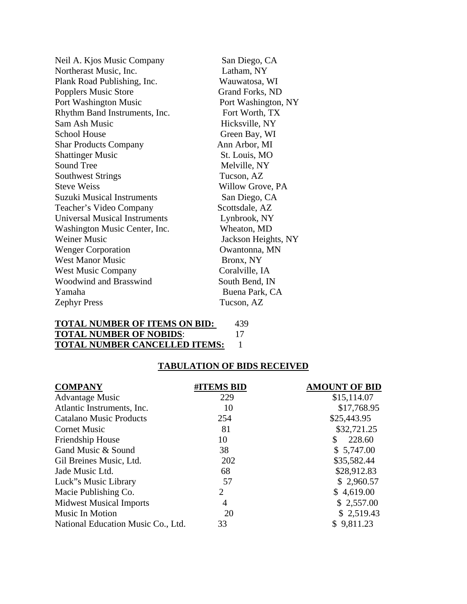| San Diego, CA       |
|---------------------|
| Latham, NY          |
| Wauwatosa, WI       |
| Grand Forks, ND     |
| Port Washington, NY |
| Fort Worth, TX      |
| Hicksville, NY      |
| Green Bay, WI       |
| Ann Arbor, MI       |
| St. Louis, MO       |
| Melville, NY        |
| Tucson, AZ          |
| Willow Grove, PA    |
| San Diego, CA       |
| Scottsdale, AZ      |
| Lynbrook, NY        |
| Wheaton, MD         |
| Jackson Heights, NY |
| Owantonna, MN       |
| Bronx, NY           |
| Coralville, IA      |
| South Bend, IN      |
| Buena Park, CA      |
| Tucson, AZ          |
|                     |

| <b>TOTAL NUMBER OF ITEMS ON BID:</b> | 439 |
|--------------------------------------|-----|
| <b>TOTAL NUMBER OF NOBIDS:</b>       |     |
| <b>TOTAL NUMBER CANCELLED ITEMS:</b> |     |

# **TABULATION OF BIDS RECEIVED**

| <b>COMPANY</b>                     | #ITEMS BID | <b>AMOUNT OF BID</b> |
|------------------------------------|------------|----------------------|
| <b>Advantage Music</b>             | 229        | \$15,114.07          |
| Atlantic Instruments, Inc.         | 10         | \$17,768.95          |
| <b>Catalano Music Products</b>     | 254        | \$25,443.95          |
| <b>Cornet Music</b>                | 81         | \$32,721.25          |
| Friendship House                   | 10         | 228.60<br>S          |
| Gand Music & Sound                 | 38         | \$5,747.00           |
| Gil Breines Music, Ltd.            | 202        | \$35,582.44          |
| Jade Music Ltd.                    | 68         | \$28,912.83          |
| Luck"s Music Library               | 57         | \$2,960.57           |
| Macie Publishing Co.               | 2          | \$4,619.00           |
| <b>Midwest Musical Imports</b>     | 4          | \$2,557.00           |
| <b>Music In Motion</b>             | 20         | \$2,519.43           |
| National Education Music Co., Ltd. | 33         | \$9,811.23           |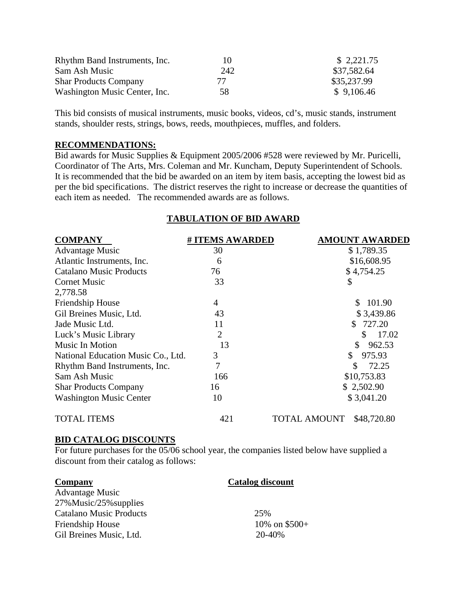| Rhythm Band Instruments, Inc. | 10  | \$2,221.75  |
|-------------------------------|-----|-------------|
| Sam Ash Music                 | 242 | \$37,582.64 |
| <b>Shar Products Company</b>  | 77  | \$35,237.99 |
| Washington Music Center, Inc. | 58  | \$9,106.46  |

This bid consists of musical instruments, music books, videos, cd's, music stands, instrument stands, shoulder rests, strings, bows, reeds, mouthpieces, muffles, and folders.

#### **RECOMMENDATIONS:**

Bid awards for Music Supplies & Equipment 2005/2006 #528 were reviewed by Mr. Puricelli, Coordinator of The Arts, Mrs. Coleman and Mr. Kuncham, Deputy Superintendent of Schools. It is recommended that the bid be awarded on an item by item basis, accepting the lowest bid as per the bid specifications. The district reserves the right to increase or decrease the quantities of each item as needed. The recommended awards are as follows.

# **TABULATION OF BID AWARD**

| <b>COMPANY</b>                     | # ITEMS AWARDED | <b>AMOUNT AWARDED</b>       |
|------------------------------------|-----------------|-----------------------------|
| <b>Advantage Music</b>             | 30              | \$1,789.35                  |
| Atlantic Instruments, Inc.         | 6               | \$16,608.95                 |
| <b>Catalano Music Products</b>     | 76              | \$4,754.25                  |
| <b>Cornet Music</b>                | 33              | \$                          |
| 2,778.58                           |                 |                             |
| Friendship House                   | 4               | 101.90<br>S.                |
| Gil Breines Music, Ltd.            | 43              | \$3,439.86                  |
| Jade Music Ltd.                    | 11              | 727.20                      |
| Luck's Music Library               | $\overline{2}$  | 17.02<br>S                  |
| Music In Motion                    | 13              | 962.53<br>\$                |
| National Education Music Co., Ltd. | 3               | \$<br>975.93                |
| Rhythm Band Instruments, Inc.      | 7               | 72.25<br>\$                 |
| Sam Ash Music                      | 166             | \$10,753.83                 |
| <b>Shar Products Company</b>       | 16              | \$2,502.90                  |
| <b>Washington Music Center</b>     | 10              | \$3,041.20                  |
| <b>TOTAL ITEMS</b>                 | 421             | TOTAL AMOUNT<br>\$48,720.80 |

#### **BID CATALOG DISCOUNTS**

For future purchases for the 05/06 school year, the companies listed below have supplied a discount from their catalog as follows:

| Company                        | <b>Catalog discount</b> |
|--------------------------------|-------------------------|
| <b>Advantage Music</b>         |                         |
| 27% Music/25% supplies         |                         |
| <b>Catalano Music Products</b> | 25%                     |
| <b>Friendship House</b>        | 10% on $$500+$          |
| Gil Breines Music, Ltd.        | 20-40%                  |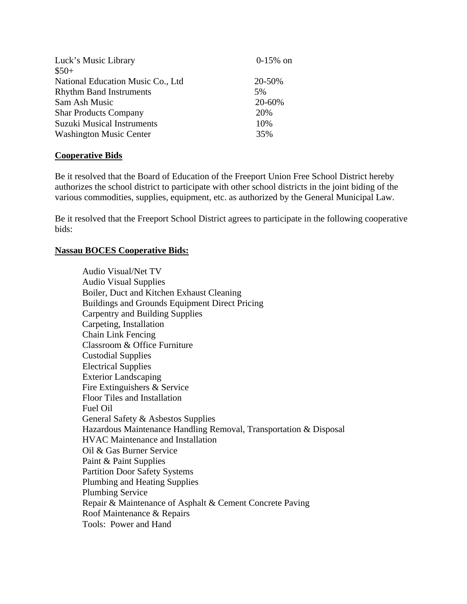| Luck's Music Library              | $0-15%$ on |
|-----------------------------------|------------|
| $$50+$                            |            |
| National Education Music Co., Ltd | 20-50%     |
| <b>Rhythm Band Instruments</b>    | 5%         |
| Sam Ash Music                     | 20-60%     |
| <b>Shar Products Company</b>      | 20%        |
| <b>Suzuki Musical Instruments</b> | 10%        |
| <b>Washington Music Center</b>    | 35%        |

#### **Cooperative Bids**

Be it resolved that the Board of Education of the Freeport Union Free School District hereby authorizes the school district to participate with other school districts in the joint biding of the various commodities, supplies, equipment, etc. as authorized by the General Municipal Law.

Be it resolved that the Freeport School District agrees to participate in the following cooperative bids:

#### **Nassau BOCES Cooperative Bids:**

 Audio Visual/Net TV Audio Visual Supplies Boiler, Duct and Kitchen Exhaust Cleaning Buildings and Grounds Equipment Direct Pricing Carpentry and Building Supplies Carpeting, Installation Chain Link Fencing Classroom & Office Furniture Custodial Supplies Electrical Supplies Exterior Landscaping Fire Extinguishers & Service Floor Tiles and Installation Fuel Oil General Safety & Asbestos Supplies Hazardous Maintenance Handling Removal, Transportation & Disposal HVAC Maintenance and Installation Oil & Gas Burner Service Paint & Paint Supplies Partition Door Safety Systems Plumbing and Heating Supplies Plumbing Service Repair & Maintenance of Asphalt & Cement Concrete Paving Roof Maintenance & Repairs Tools: Power and Hand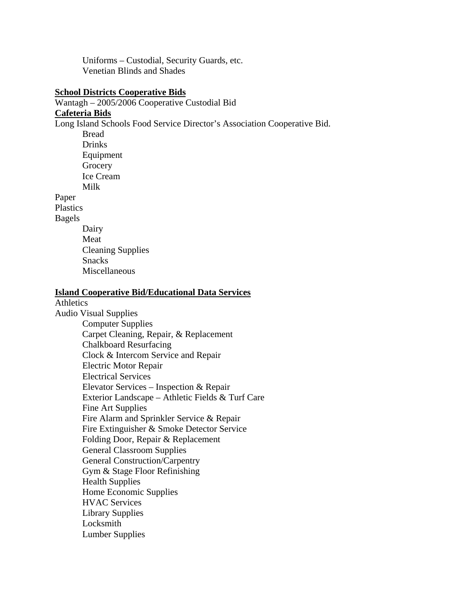Uniforms – Custodial, Security Guards, etc. Venetian Blinds and Shades

#### **School Districts Cooperative Bids**

Wantagh – 2005/2006 Cooperative Custodial Bid

# **Cafeteria Bids**

Long Island Schools Food Service Director's Association Cooperative Bid.

 Bread **Drinks**  Equipment **Grocery**  Ice Cream Milk

Paper Plastics

Bagels

- 
- Dairy Meat Cleaning Supplies Snacks Miscellaneous

#### **Island Cooperative Bid/Educational Data Services**

Athletics Audio Visual Supplies Computer Supplies Carpet Cleaning, Repair, & Replacement Chalkboard Resurfacing Clock & Intercom Service and Repair Electric Motor Repair Electrical Services Elevator Services – Inspection & Repair Exterior Landscape – Athletic Fields & Turf Care Fine Art Supplies Fire Alarm and Sprinkler Service & Repair Fire Extinguisher & Smoke Detector Service Folding Door, Repair & Replacement General Classroom Supplies General Construction/Carpentry Gym & Stage Floor Refinishing Health Supplies Home Economic Supplies HVAC Services Library Supplies Locksmith Lumber Supplies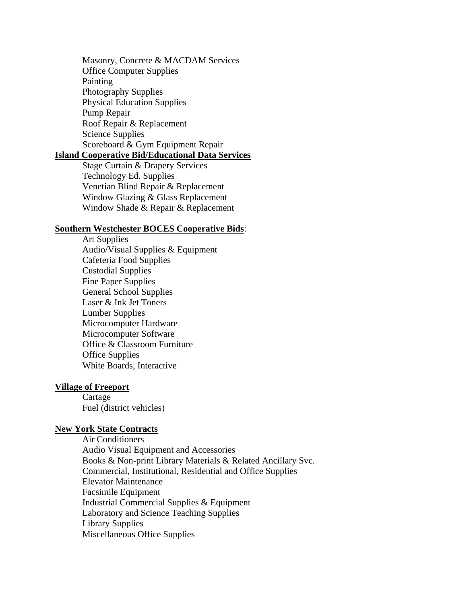Masonry, Concrete & MACDAM Services Office Computer Supplies Painting Photography Supplies Physical Education Supplies Pump Repair Roof Repair & Replacement Science Supplies Scoreboard & Gym Equipment Repair **Island Cooperative Bid/Educational Data Services**

> Stage Curtain & Drapery Services Technology Ed. Supplies Venetian Blind Repair & Replacement Window Glazing & Glass Replacement Window Shade & Repair & Replacement

#### **Southern Westchester BOCES Cooperative Bids**:

 Art Supplies Audio/Visual Supplies & Equipment Cafeteria Food Supplies Custodial Supplies Fine Paper Supplies General School Supplies Laser & Ink Jet Toners Lumber Supplies Microcomputer Hardware Microcomputer Software Office & Classroom Furniture Office Supplies White Boards, Interactive

#### **Village of Freeport**

 Cartage Fuel (district vehicles)

#### **New York State Contracts**

 Air Conditioners Audio Visual Equipment and Accessories Books & Non-print Library Materials & Related Ancillary Svc. Commercial, Institutional, Residential and Office Supplies Elevator Maintenance Facsimile Equipment Industrial Commercial Supplies & Equipment Laboratory and Science Teaching Supplies Library Supplies Miscellaneous Office Supplies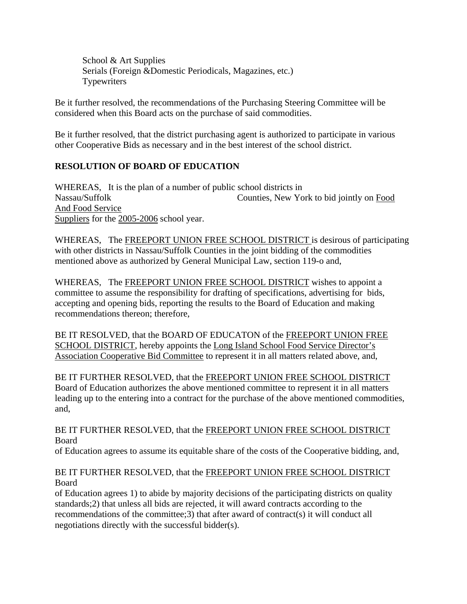School & Art Supplies Serials (Foreign &Domestic Periodicals, Magazines, etc.) Typewriters

Be it further resolved, the recommendations of the Purchasing Steering Committee will be considered when this Board acts on the purchase of said commodities.

Be it further resolved, that the district purchasing agent is authorized to participate in various other Cooperative Bids as necessary and in the best interest of the school district.

# **RESOLUTION OF BOARD OF EDUCATION**

WHEREAS, It is the plan of a number of public school districts in Nassau/Suffolk Counties, New York to bid jointly on Food And Food Service Suppliers for the 2005-2006 school year.

WHEREAS, The FREEPORT UNION FREE SCHOOL DISTRICT is desirous of participating with other districts in Nassau/Suffolk Counties in the joint bidding of the commodities mentioned above as authorized by General Municipal Law, section 119-o and,

WHEREAS, The FREEPORT UNION FREE SCHOOL DISTRICT wishes to appoint a committee to assume the responsibility for drafting of specifications, advertising for bids, accepting and opening bids, reporting the results to the Board of Education and making recommendations thereon; therefore,

BE IT RESOLVED, that the BOARD OF EDUCATON of the FREEPORT UNION FREE SCHOOL DISTRICT, hereby appoints the Long Island School Food Service Director's Association Cooperative Bid Committee to represent it in all matters related above, and,

BE IT FURTHER RESOLVED, that the FREEPORT UNION FREE SCHOOL DISTRICT Board of Education authorizes the above mentioned committee to represent it in all matters leading up to the entering into a contract for the purchase of the above mentioned commodities, and,

BE IT FURTHER RESOLVED, that the FREEPORT UNION FREE SCHOOL DISTRICT Board

of Education agrees to assume its equitable share of the costs of the Cooperative bidding, and,

# BE IT FURTHER RESOLVED, that the FREEPORT UNION FREE SCHOOL DISTRICT Board

of Education agrees 1) to abide by majority decisions of the participating districts on quality standards;2) that unless all bids are rejected, it will award contracts according to the recommendations of the committee;3) that after award of contract(s) it will conduct all negotiations directly with the successful bidder(s).